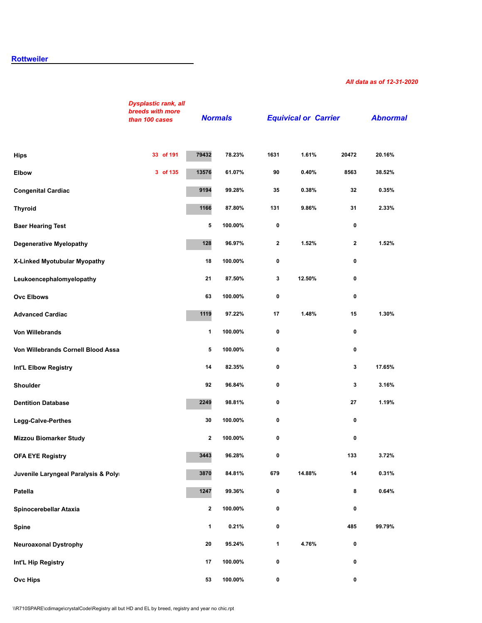# **[Rottweiler](http://secure.ofa.org/regsums/RO31-dec-2018SUM.pdf)**

#### *All data as of 12-31-2020*

|                                     | <b>Dysplastic rank, all</b><br>breeds with more<br>than 100 cases |                         | <b>Normals</b> |             | <b>Equivical or Carrier</b> |                  | <b>Abnormal</b> |
|-------------------------------------|-------------------------------------------------------------------|-------------------------|----------------|-------------|-----------------------------|------------------|-----------------|
| <b>Hips</b>                         | 33 of 191                                                         | 79432                   | 78.23%         | 1631        | 1.61%                       | 20472            | 20.16%          |
| <b>Elbow</b>                        | 3 of 135                                                          | 13576                   | 61.07%         | 90          | 0.40%                       | 8563             | 38.52%          |
| <b>Congenital Cardiac</b>           |                                                                   | 9194                    | 99.28%         | 35          | 0.38%                       | 32               | 0.35%           |
| <b>Thyroid</b>                      |                                                                   | 1166                    | 87.80%         | 131         | 9.86%                       | 31               | 2.33%           |
| <b>Baer Hearing Test</b>            |                                                                   | 5                       | 100.00%        | 0           |                             | 0                |                 |
| <b>Degenerative Myelopathy</b>      |                                                                   | 128                     | 96.97%         | $\mathbf 2$ | 1.52%                       | $\boldsymbol{2}$ | 1.52%           |
| X-Linked Myotubular Myopathy        |                                                                   | 18                      | 100.00%        | 0           |                             | 0                |                 |
| Leukoencephalomyelopathy            |                                                                   | 21                      | 87.50%         | 3           | 12.50%                      | 0                |                 |
| <b>Ovc Elbows</b>                   |                                                                   | 63                      | 100.00%        | 0           |                             | 0                |                 |
| <b>Advanced Cardiac</b>             |                                                                   | 1119                    | 97.22%         | 17          | 1.48%                       | 15               | 1.30%           |
| <b>Von Willebrands</b>              |                                                                   | $\mathbf{1}$            | 100.00%        | 0           |                             | 0                |                 |
| Von Willebrands Cornell Blood Assa  |                                                                   | 5                       | 100.00%        | 0           |                             | 0                |                 |
| Int'L Elbow Registry                |                                                                   | 14                      | 82.35%         | $\mathbf 0$ |                             | 3                | 17.65%          |
| <b>Shoulder</b>                     |                                                                   | 92                      | 96.84%         | 0           |                             | 3                | 3.16%           |
| <b>Dentition Database</b>           |                                                                   | 2249                    | 98.81%         | 0           |                             | 27               | 1.19%           |
| Legg-Calve-Perthes                  |                                                                   | 30                      | 100.00%        | 0           |                             | 0                |                 |
| <b>Mizzou Biomarker Study</b>       |                                                                   | $\mathbf 2$             | 100.00%        | 0           |                             | 0                |                 |
| <b>OFA EYE Registry</b>             |                                                                   | 3443                    | 96.28%         | 0           |                             | 133              | 3.72%           |
| Juvenile Laryngeal Paralysis & Poly |                                                                   | 3870                    | 84.81%         | 679         | 14.88%                      | 14               | 0.31%           |
| Patella                             |                                                                   | 1247                    | 99.36%         | $\pmb{0}$   |                             | 8                | 0.64%           |
| Spinocerebellar Ataxia              |                                                                   | $\overline{\mathbf{2}}$ | 100.00%        | 0           |                             | 0                |                 |
| Spine                               |                                                                   | $\mathbf{1}$            | 0.21%          | 0           |                             | 485              | 99.79%          |
| <b>Neuroaxonal Dystrophy</b>        |                                                                   | 20                      | 95.24%         | 1           | 4.76%                       | 0                |                 |
| Int'L Hip Registry                  |                                                                   | 17                      | 100.00%        | 0           |                             | 0                |                 |
| <b>Ovc Hips</b>                     |                                                                   | 53                      | 100.00%        | 0           |                             | 0                |                 |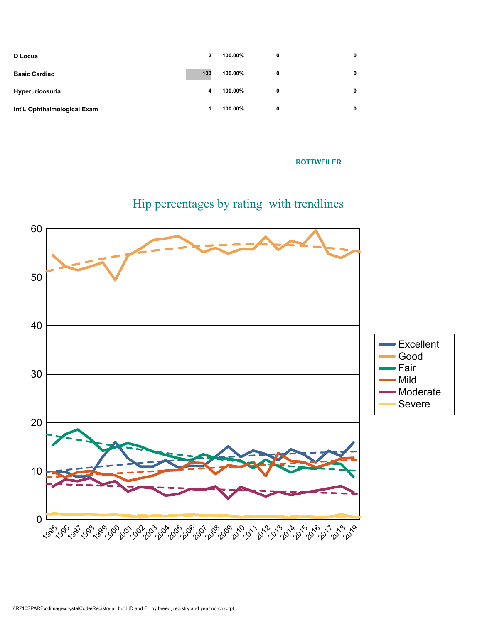| <b>D</b> Locus              | $\mathbf{2}$ | 100.00% | 0 | 0 |
|-----------------------------|--------------|---------|---|---|
| <b>Basic Cardiac</b>        | 130          | 100.00% | 0 |   |
| Hyperuricosuria             | 4            | 100.00% | 0 |   |
| Int'L Ophthalmological Exam | 1            | 100.00% | 0 |   |

# How the state of the state of the state of the state of the state of the state of the state of the state of the state of the state of the state of the state of the state of the state of the state of the state of the state



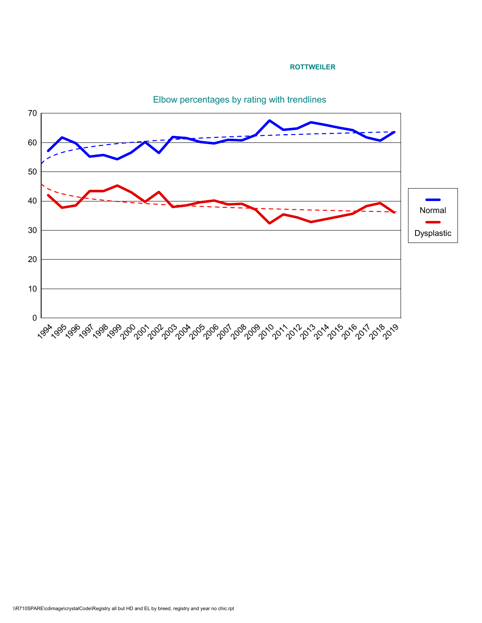#### **ROTTWEILER**



Elbow percentages by rating with trendlines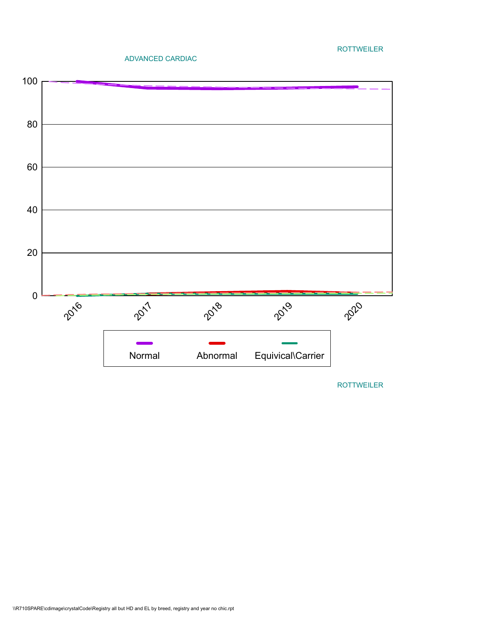### ADVANCED CARDIAC

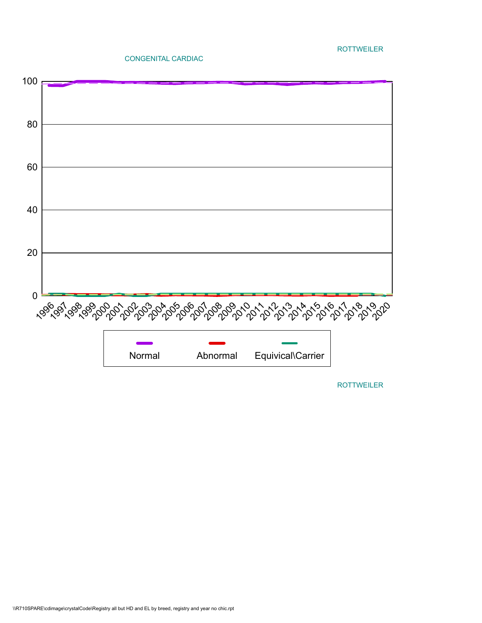#### CONGENITAL CARDIAC

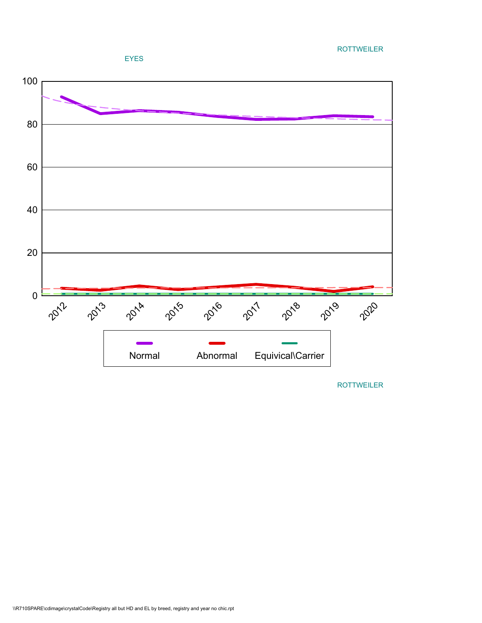

**ROLLPH ROLLPH ROLLPH ROLLPH ROLLPH ROLLPH ROLLPH ROLLPH ROLLPH ROLLPH ROLLPH ROLLPH ROLLPH ROLLPH ROLLPH ROLLPH ROLLPH ROLLPH ROLLPH ROLLPH ROLLPH ROLLPH ROLLPH ROLLPH ROLLPH ROLLPH ROLLPH ROLLPH ROLLPH ROLLPH ROLLPH ROLL**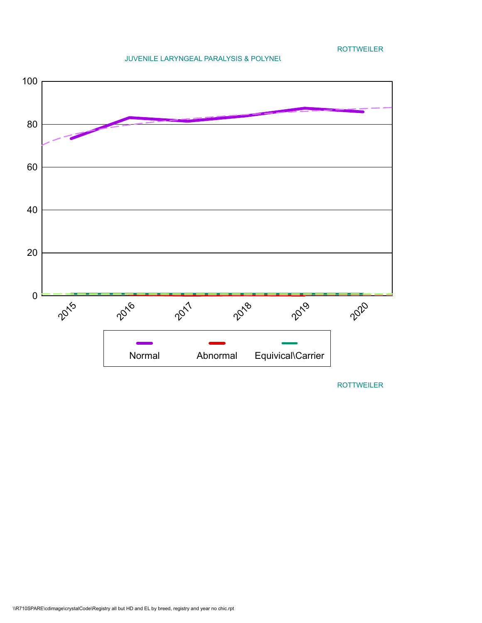**ROLLPH ROLLPH ROLLPH ROLLPH ROLLPH ROLLPH ROLLPH ROLLPH ROLLPH ROLLPH ROLLPH ROLLPH ROLLPH ROLLPH ROLLPH ROLLPH ROLLPH ROLLPH ROLLPH ROLLPH ROLLPH ROLLPH ROLLPH ROLLPH ROLLPH ROLLPH ROLLPH ROLLPH ROLLPH ROLLPH ROLLPH ROLL** 

### JUVENILE LARYNGEAL PARALYSIS & POLYNEUR

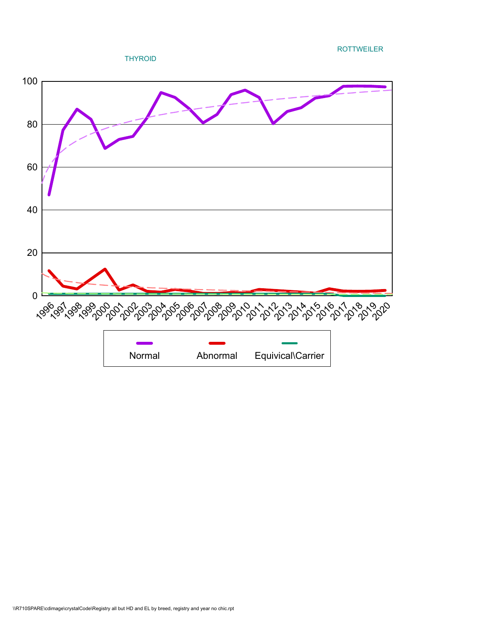**ROTTWEILER** ROTTWEILER

THYROID

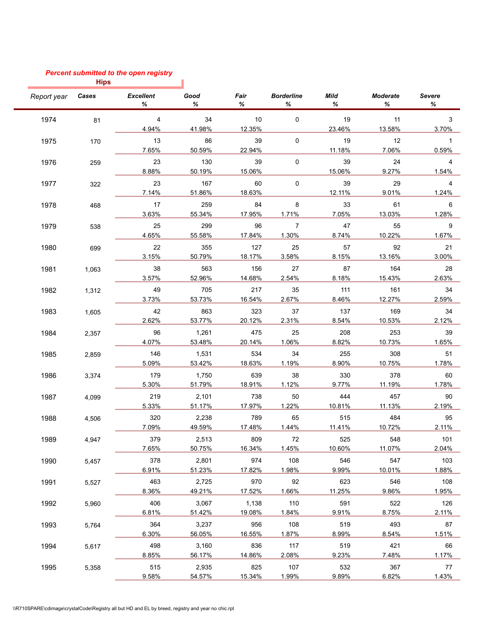# *Percent submitted to the open registry*

|             | <b>Hips</b> |                         |                 |           |                        |              |                      |                    |
|-------------|-------------|-------------------------|-----------------|-----------|------------------------|--------------|----------------------|--------------------|
| Report year | Cases       | <b>Excellent</b><br>%   | Good<br>℅       | Fair<br>℅ | <b>Borderline</b><br>℅ | Mild<br>%    | <b>Moderate</b><br>℅ | <b>Severe</b><br>% |
| 1974        | 81          | $\overline{\mathbf{4}}$ | 34              | 10        | 0                      | 19           | 11                   | 3                  |
|             |             | 4.94%                   | 41.98%          | 12.35%    |                        | 23.46%       | 13.58%               | 3.70%              |
| 1975        | 170         | 13                      | 86              | 39        | $\mathbf 0$            | 19           | 12                   | $\mathbf 1$        |
|             |             | 7.65%                   | 50.59%          | 22.94%    |                        | 11.18%       | 7.06%                | 0.59%              |
| 1976        | 259         | 23                      | 130             | 39        | 0                      | 39           | 24                   | 4                  |
|             |             | 8.88%                   | 50.19%          | 15.06%    |                        | 15.06%       | 9.27%                | 1.54%              |
| 1977        | 322         | 23                      | 167             | 60        | 0                      | 39           | 29                   | 4                  |
|             |             | 7.14%                   | 51.86%          | 18.63%    |                        | 12.11%       | 9.01%                | 1.24%              |
| 1978        | 468         | 17                      | 259             | 84        | 8                      | 33           | 61                   | 6                  |
|             |             | 3.63%                   | 55.34%          | 17.95%    | 1.71%                  | 7.05%        | 13.03%               | 1.28%              |
| 1979        | 538         | 25                      | 299             | 96        | $\overline{7}$         | 47           | 55                   | 9                  |
|             |             | 4.65%                   | 55.58%          | 17.84%    | 1.30%                  | 8.74%        | 10.22%               | 1.67%              |
| 1980        | 699         | 22                      | 355             | 127       | 25                     | 57           | 92                   | 21                 |
|             |             | 3.15%                   | 50.79%          | 18.17%    | 3.58%                  | 8.15%        | 13.16%               | 3.00%              |
| 1981        | 1,063       | 38                      | 563             | 156       | 27                     | 87           | 164                  | 28                 |
|             |             | 3.57%                   | 52.96%          | 14.68%    | 2.54%                  | 8.18%        | 15.43%               | 2.63%              |
| 1982        | 1,312       | 49                      | 705             | 217       | 35                     | 111          | 161                  | 34                 |
|             |             | 3.73%                   | 53.73%          | 16.54%    | 2.67%                  | 8.46%        | 12.27%               | 2.59%              |
| 1983        |             | 42                      | 863             | 323       | 37                     | 137          | 169                  | 34                 |
|             | 1,605       | 2.62%                   | 53.77%          | 20.12%    | 2.31%                  | 8.54%        | 10.53%               | 2.12%              |
|             |             |                         |                 | 475       |                        |              | 253                  |                    |
| 1984        | 2,357       | 96<br>4.07%             | 1,261<br>53.48% | 20.14%    | 25<br>1.06%            | 208<br>8.82% | 10.73%               | 39<br>1.65%        |
|             |             |                         |                 |           |                        |              |                      |                    |
| 1985        | 2,859       | 146                     | 1,531           | 534       | 34                     | 255<br>8.90% | 308                  | 51<br>1.78%        |
|             |             | 5.09%                   | 53.42%          | 18.63%    | 1.19%                  |              | 10.75%               |                    |
| 1986        | 3,374       | 179                     | 1,750           | 639       | 38                     | 330          | 378                  | 60                 |
|             |             | 5.30%                   | 51.79%          | 18.91%    | 1.12%                  | 9.77%        | 11.19%               | 1.78%              |
| 1987        | 4,099       | 219                     | 2,101           | 738       | 50                     | 444          | 457                  | 90                 |
|             |             | 5.33%                   | 51.17%          | 17.97%    | 1.22%                  | 10.81%       | 11.13%               | 2.19%              |
| 1988        | 4,506       | 320                     | 2,238           | 789       | 65                     | 515          | 484                  | 95                 |
|             |             | 7.09%                   | 49.59%          | 17.48%    | 1.44%                  | 11.41%       | 10.72%               | 2.11%              |
| 1989        | 4,947       | 379                     | 2,513           | 809       | 72                     | 525          | 548                  | 101                |
|             |             | 7.65%                   | 50.75%          | 16.34%    | 1.45%                  | 10.60%       | 11.07%               | 2.04%              |
| 1990        | 5,457       | 378                     | 2,801           | 974       | 108                    | 546          | 547                  | 103                |
|             |             | 6.91%                   | 51.23%          | 17.82%    | 1.98%                  | 9.99%        | 10.01%               | 1.88%              |
| 1991        | 5,527       | 463                     | 2,725           | 970       | 92                     | 623          | 546                  | 108                |
|             |             | 8.36%                   | 49.21%          | 17.52%    | 1.66%                  | 11.25%       | 9.86%                | 1.95%              |
| 1992        | 5,960       | 406                     | 3,067           | 1,138     | 110                    | 591          | 522                  | 126                |
|             |             | 6.81%                   | 51.42%          | 19.08%    | 1.84%                  | 9.91%        | 8.75%                | 2.11%              |
| 1993        | 5,764       | 364                     | 3,237           | 956       | 108                    | 519          | 493                  | 87                 |
|             |             | 6.30%                   | 56.05%          | 16.55%    | 1.87%                  | 8.99%        | 8.54%                | 1.51%              |
| 1994        | 5,617       | 498                     | 3,160           | 836       | 117                    | 519          | 421                  | 66                 |
|             |             | 8.85%                   | 56.17%          | 14.86%    | 2.08%                  | 9.23%        | 7.48%                | 1.17%              |
| 1995        | 5,358       | 515                     | 2,935           | 825       | 107                    | 532          | 367                  | 77                 |
|             |             | 9.58%                   | 54.57%          | 15.34%    | 1.99%                  | 9.89%        | 6.82%                | 1.43%              |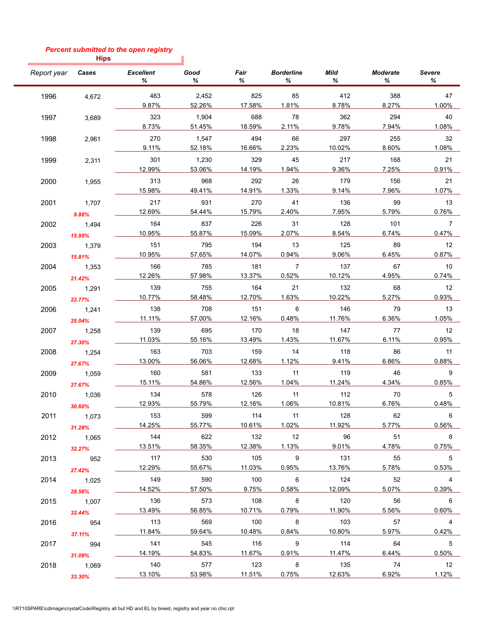# *Percent submitted to the open registry*

ı

**Hips**

| Report year | Cases  | <b>Excellent</b><br>℅ | Good<br>%     | Fair<br>%     | <b>Borderline</b><br>℅ | Mild<br>℅     | <b>Moderate</b><br>℅ | Severe<br>℅          |
|-------------|--------|-----------------------|---------------|---------------|------------------------|---------------|----------------------|----------------------|
| 1996        | 4,672  | 463                   | 2,452         | 825           | 85                     | 412           | 388                  | 47                   |
|             |        | 9.87%                 | 52.26%        | 17.58%        | 1.81%                  | 8.78%         | 8.27%                | 1.00%                |
| 1997        | 3,689  | 323                   | 1,904         | 688           | 78                     | 362           | 294                  | 40                   |
|             |        | 8.73%                 | 51.45%        | 18.59%        | 2.11%                  | 9.78%         | 7.94%                | 1.08%                |
| 1998        | 2,961  | 270                   | 1,547         | 494           | 66                     | 297           | 255                  | 32                   |
|             |        | 9.11%                 | 52.18%        | 16.66%        | 2.23%                  | 10.02%        | 8.60%                | 1.08%                |
| 1999        | 2,311  | 301                   | 1,230         | 329           | 45                     | 217           | 168                  | 21                   |
|             |        | 12.99%                | 53.06%        | 14.19%        | 1.94%                  | 9.36%         | 7.25%                | 0.91%                |
| 2000        | 1,955  | 313                   | 968           | 292           | 26                     | 179           | 156                  | 21                   |
|             |        | 15.98%                | 49.41%        | 14.91%        | 1.33%                  | 9.14%         | 7.96%                | 1.07%                |
| 2001        | 1,707  | 217                   | 931           | 270           | 41                     | 136           | 99                   | 13                   |
|             | 9.88%  | 12.69%                | 54.44%        | 15.79%        | 2.40%                  | 7.95%         | 5.79%                | 0.76%                |
| 2002        | 1,494  | 164                   | 837           | 226           | 31                     | 128           | 101                  | $\overline{7}$       |
|             | 15.95% | 10.95%                | 55.87%        | 15.09%        | 2.07%                  | 8.54%         | 6.74%                | 0.47%                |
| 2003        | 1,379  | 151                   | 795           | 194           | 13                     | 125           | 89                   | 12                   |
|             | 15.81% | 10.95%                | 57.65%        | 14.07%        | 0.94%                  | 9.06%         | 6.45%                | 0.87%                |
| 2004        | 1,353  | 166                   | 785           | 181           | $\overline{7}$         | 137           | 67                   | 10                   |
|             | 21.42% | 12.26%                | 57.98%        | 13.37%        | 0.52%                  | 10.12%        | 4.95%                | 0.74%                |
| 2005        | 1,291  | 139                   | 755           | 164           | 21                     | 132           | 68                   | 12                   |
|             | 22.77% | 10.77%                | 58.48%        | 12.70%        | 1.63%                  | 10.22%        | 5.27%                | 0.93%                |
| 2006        | 1,241  | 138                   | 708           | 151           | 6                      | 146           | 79                   | 13                   |
|             | 25.04% | 11.11%                | 57.00%        | 12.16%        | 0.48%                  | 11.76%        | 6.36%                | 1.05%                |
| 2007        | 1,258  | 139                   | 695           | 170           | 18                     | 147           | 77                   | 12                   |
|             | 27.30% | 11.03%                | 55.16%        | 13.49%        | 1.43%                  | 11.67%        | 6.11%                | 0.95%                |
| 2008        | 1,254  | 163                   | 703           | 159           | 14                     | 118           | 86                   | 11                   |
|             | 27.67% | 13.00%                | 56.06%        | 12.68%        | 1.12%                  | 9.41%         | 6.86%                | 0.88%                |
| 2009        | 1,059  | 160                   | 581           | 133           | 11                     | 119           | 46                   | 9                    |
|             | 27.67% | 15.11%                | 54.86%        | 12.56%        | 1.04%                  | 11.24%        | 4.34%                | 0.85%                |
| 2010        | 1,036  | 134                   | 578           | 126           | 11                     | 112           | 70                   | 5                    |
|             | 30.60% | 12.93%                | 55.79%        | 12.16%        | 1.06%                  | 10.81%        | 6.76%                | 0.48%                |
| 2011        | 1,073  | 153                   | 599           | 114           | 11                     | 128           | 62                   | 6                    |
|             | 31.28% | 14.25%                | 55.77%        | 10.61%        | 1.02%                  | 11.92%        | 5.77%                | 0.56%                |
| 2012        | 1.065  | 144                   | 622           | 132           | 12                     | 96            | 51                   | $_{\rm 8}$           |
|             | 32.27% | 13.51%                | 58.35%        | 12.38%        | 1.13%                  | 9.01%         | 4.78%                | 0.75%                |
| 2013        | 952    | 117                   | 530           | 105           | 9                      | 131           | 55                   | $5\overline{)}$      |
|             |        | 12.29%                | 55.67%        | 11.03%        | 0.95%                  | 13.76%        | 5.78%                | 0.53%                |
| 2014        | 27.42% | 149                   | 590           | 100           | 6                      | 124           | 52                   | $\overline{4}$       |
|             | 1,025  | 14.52%                | 57.50%        | 9.75%         | 0.58%                  | 12.09%        | 5.07%                | 0.39%                |
| 2015        | 28.56% | 136                   | 573           | 108           | 8                      | 120           | 56                   | $6\overline{6}$      |
|             | 1,007  | 13.49%                | 56.85%        | 10.71%        | 0.79%                  | 11.90%        | 5.56%                | 0.60%                |
|             | 32.44% | 113                   | 569           | 100           | 8                      | 103           | 57                   | $\overline{4}$       |
| 2016        | 954    | 11.84%                | 59.64%        | 10.48%        | 0.84%                  | 10.80%        | 5.97%                | 0.42%                |
|             | 37.11% |                       |               |               |                        |               |                      |                      |
| 2017        | 994    | 141<br>14.19%         | 545<br>54.83% | 116<br>11.67% | 9<br>0.91%             | 114<br>11.47% | 64<br>6.44%          | $5^{\circ}$<br>0.50% |
|             | 31.09% |                       |               |               |                        |               |                      |                      |
| 2018        | 1,069  | 140                   | 577<br>53.98% | 123<br>11.51% | 8<br>0.75%             | 135<br>12.63% | 74<br>6.92%          | 12<br>1.12%          |
|             | 33.30% | 13.10%                |               |               |                        |               |                      |                      |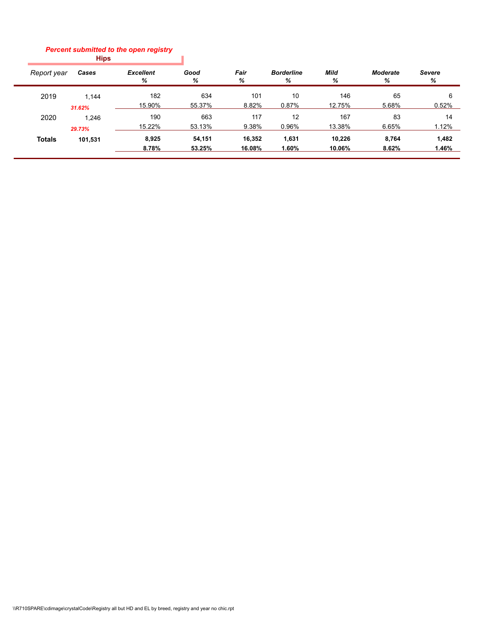#### **Hips** *Percent submitted to the open registry*

| Report year   | Cases   | <b>Excellent</b><br>% | Good<br>℅ | Fair<br>℅ | <b>Borderline</b><br>℅ | Mild<br>℅ | <b>Moderate</b><br>% | Severe<br>℅ |
|---------------|---------|-----------------------|-----------|-----------|------------------------|-----------|----------------------|-------------|
| 2019          | 1.144   | 182                   | 634       | 101       | 10                     | 146       | 65                   | 6           |
|               | 31.62%  | 15.90%                | 55.37%    | 8.82%     | 0.87%                  | 12.75%    | 5.68%                | 0.52%       |
| 2020          | 1.246   | 190                   | 663       | 117       | 12                     | 167       | 83                   | 14          |
|               | 29.73%  | 15.22%                | 53.13%    | 9.38%     | 0.96%                  | 13.38%    | 6.65%                | 1.12%       |
| <b>Totals</b> | 101,531 | 8,925                 | 54,151    | 16,352    | 1,631                  | 10,226    | 8,764                | 1,482       |
|               |         | 8.78%                 | 53.25%    | 16.08%    | 1.60%                  | 10.06%    | 8.62%                | 1.46%       |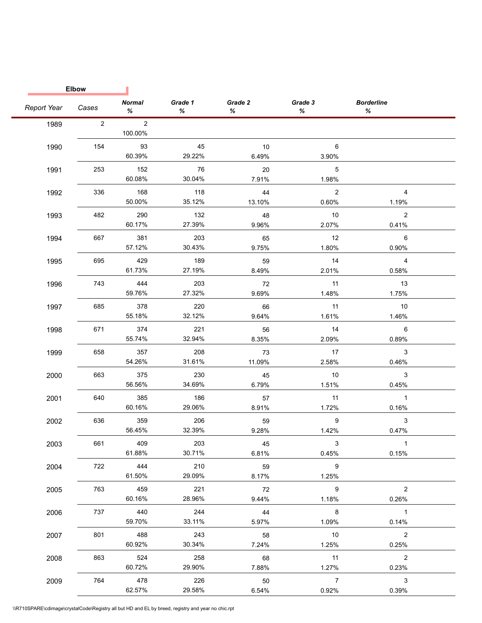|             | <b>Elbow</b>   |                           |                         |              |                                   |                         |  |
|-------------|----------------|---------------------------|-------------------------|--------------|-----------------------------------|-------------------------|--|
| Report Year | Cases          | <b>Normal</b><br>%        | Grade 1<br>%            | Grade 2<br>% | Grade 3<br>%                      | <b>Borderline</b><br>%  |  |
| 1989        | $\overline{2}$ | $\overline{2}$<br>100.00% |                         |              |                                   |                         |  |
| 1990        | 154            | 93<br>60.39%              | 45<br>29.22%            | 10<br>6.49%  | 6<br>3.90%                        |                         |  |
| 1991        | 253            | 152<br>60.08%             | 76<br>30.04%            | 20<br>7.91%  | 5<br>1.98%                        |                         |  |
| 1992        | 336            | 168<br>50.00%             | 118<br>35.12%           | 44<br>13.10% | $\overline{\phantom{0}}$<br>0.60% | $\overline{4}$<br>1.19% |  |
| 1993        | 482            | 290<br>60.17%             | 132<br>27.39%           | 48<br>9.96%  | 10<br>2.07%                       | $\overline{2}$<br>0.41% |  |
| 1994        | 667            | 381<br>57.12%             | 203<br>30.43%           | 65<br>9.75%  | 12<br>1.80%                       | 6<br>0.90%              |  |
| 1995        | 695            | 429<br>61.73%             | 189<br>27.19%           | 59<br>8.49%  | 14<br>2.01%                       | $\overline{4}$<br>0.58% |  |
| 1996        | 743            | 444<br>59.76%             | 203<br>27.32%           | 72<br>9.69%  | 11<br>1.48%                       | 13<br>1.75%             |  |
| 1997        | 685            | 378<br>55.18%             | 220<br>32.12%           | 66<br>9.64%  | 11<br>1.61%                       | 10<br>1.46%             |  |
| 1998        | 671            | 374<br>55.74%             | 221<br>32.94%           | 56<br>8.35%  | 14<br>2.09%                       | 6<br>0.89%              |  |
| 1999        | 658            | 357<br>54.26%             | 208<br>31.61%           | 73<br>11.09% | 17<br>2.58%                       | $\mathbf{3}$<br>0.46%   |  |
| 2000        | 663            | 375                       | 230                     | 45           | 10                                | 3                       |  |
| 2001        | 640            | 56.56%<br>385             | 34.69%<br>186<br>29.06% | 6.79%<br>57  | 1.51%<br>11                       | 0.45%<br>$\overline{1}$ |  |
| 2002        | 636            | 60.16%<br>359             | 206                     | 8.91%<br>59  | 1.72%<br>9                        | 0.16%<br>$\mathbf{3}$   |  |
| 2003        | 661            | 56.45%<br>409             | 32.39%<br>203           | 9.28%<br>45  | 1.42%<br>3                        | 0.47%<br>$\overline{1}$ |  |
| 2004        | 722            | 61.88%<br>444             | 30.71%<br>210           | 6.81%<br>59  | 0.45%<br>9                        | 0.15%                   |  |
| 2005        | 763            | 61.50%<br>459             | 29.09%<br>221           | 8.17%<br>72  | 1.25%<br>9                        | $\overline{2}$          |  |
| 2006        | 737            | 60.16%<br>440             | 28.96%<br>244           | 9.44%<br>44  | 1.18%<br>8                        | 0.26%<br>$\overline{1}$ |  |
| 2007        | 801            | 59.70%<br>488             | 33.11%<br>243           | 5.97%<br>58  | 1.09%<br>10                       | 0.14%<br>$\overline{2}$ |  |
| 2008        | 863            | 60.92%<br>524             | 30.34%<br>258           | 7.24%<br>68  | 1.25%<br>11                       | 0.25%<br>$\overline{2}$ |  |
| 2009        | 764            | 60.72%<br>478             | 29.90%<br>226           | 7.88%<br>50  | 1.27%<br>$\overline{7}$           | 0.23%<br>3              |  |
|             |                | 62.57%                    | 29.58%                  | 6.54%        | 0.92%                             | 0.39%                   |  |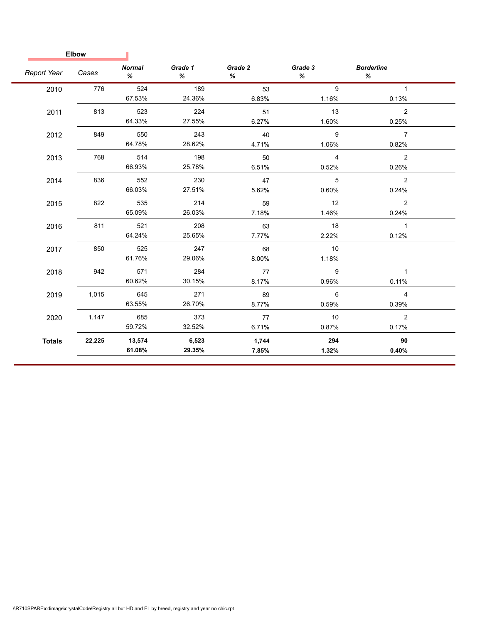| <b>Elbow</b>  |        |                    |              |              |                |                        |  |
|---------------|--------|--------------------|--------------|--------------|----------------|------------------------|--|
| Report Year   | Cases  | <b>Normal</b><br>% | Grade 1<br>% | Grade 2<br>℅ | Grade 3<br>%   | <b>Borderline</b><br>% |  |
| 2010          | 776    | 524                | 189          | 53           | 9              | $\mathbf{1}$           |  |
|               |        | 67.53%             | 24.36%       | 6.83%        | 1.16%          | 0.13%                  |  |
| 2011          | 813    | 523                | 224          | 51           | 13             | $\overline{2}$         |  |
|               |        | 64.33%             | 27.55%       | 6.27%        | 1.60%          | 0.25%                  |  |
| 2012          | 849    | 550                | 243          | 40           | 9              | $\overline{7}$         |  |
|               |        | 64.78%             | 28.62%       | 4.71%        | 1.06%          | 0.82%                  |  |
| 2013          | 768    | 514                | 198          | 50           | $\overline{4}$ | $\overline{2}$         |  |
|               |        | 66.93%             | 25.78%       | 6.51%        | 0.52%          | 0.26%                  |  |
| 2014          | 836    | 552                | 230          | 47           | 5              | 2                      |  |
|               |        | 66.03%             | 27.51%       | 5.62%        | 0.60%          | 0.24%                  |  |
| 2015          | 822    | 535                | 214          | 59           | 12             | $\overline{2}$         |  |
|               |        | 65.09%             | 26.03%       | 7.18%        | 1.46%          | 0.24%                  |  |
| 2016          | 811    | 521                | 208          | 63           | 18             | $\mathbf{1}$           |  |
|               |        | 64.24%             | 25.65%       | 7.77%        | 2.22%          | 0.12%                  |  |
| 2017          | 850    | 525                | 247          | 68           | 10             |                        |  |
|               |        | 61.76%             | 29.06%       | 8.00%        | 1.18%          |                        |  |
| 2018          | 942    | 571                | 284          | 77           | 9              | $\mathbf{1}$           |  |
|               |        | 60.62%             | 30.15%       | 8.17%        | 0.96%          | 0.11%                  |  |
| 2019          | 1,015  | 645                | 271          | 89           | 6              | $\overline{4}$         |  |
|               |        | 63.55%             | 26.70%       | 8.77%        | 0.59%          | 0.39%                  |  |
| 2020          | 1,147  | 685                | 373          | 77           | 10             | 2                      |  |
|               |        | 59.72%             | 32.52%       | 6.71%        | 0.87%          | 0.17%                  |  |
| <b>Totals</b> | 22,225 | 13,574             | 6,523        | 1,744        | 294            | 90                     |  |
|               |        | 61.08%             | 29.35%       | 7.85%        | 1.32%          | 0.40%                  |  |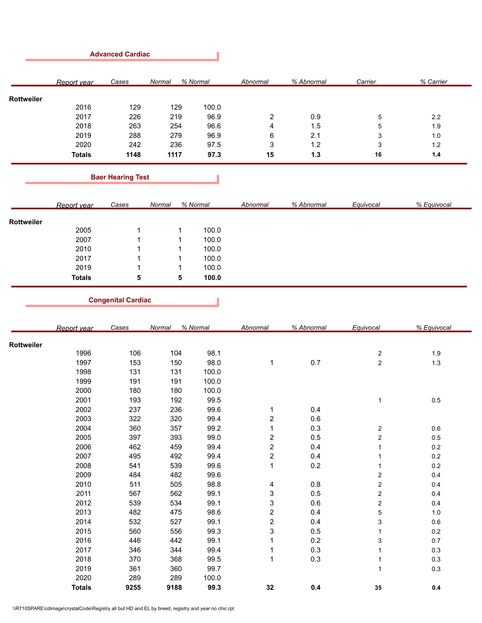|               | Cases | Normal | % Normal | Abnormal | % Abnormal | Carrier | % Carrier |
|---------------|-------|--------|----------|----------|------------|---------|-----------|
|               |       |        |          |          |            |         |           |
|               |       |        |          |          |            |         |           |
|               |       |        |          |          |            |         |           |
| 2017          | 226   | 219    | 96.9     | 2        | 0.9        | 5       | 2.2       |
| 2018          | 263   | 254    | 96.6     | 4        | 1.5        | 5       | 1.9       |
| 2019          | 288   | 279    | 96.9     | 6        | 2.1        | 3       | 1.0       |
| 2020          | 242   | 236    | 97.5     | 3        | 1.2        | 3       | 1.2       |
| <b>Totals</b> | 1148  | 1117   | 97.3     | 15       | 1.3        | 16      | 1.4       |
|               | 2016  | 129    | 129      | 100.0    |            |         |           |

┚

**Contract** 

# **Baer Hearing Test**

|            | Report year   | Cases | Normal | % Normal | Abnormal | % Abnormal | Equivocal | % Equivocal |
|------------|---------------|-------|--------|----------|----------|------------|-----------|-------------|
|            |               |       |        |          |          |            |           |             |
| Rottweiler |               |       |        |          |          |            |           |             |
|            | 2005          |       |        | 100.0    |          |            |           |             |
|            | 2007          |       |        | 100.0    |          |            |           |             |
|            | 2010          |       |        | 100.0    |          |            |           |             |
|            | 2017          |       |        | 100.0    |          |            |           |             |
|            | 2019          |       |        | 100.0    |          |            |           |             |
|            | <b>Totals</b> | 5     | 5      | 100.0    |          |            |           |             |

п

**Congenital Cardiac**

|            | Report year   | Cases | Normal | % Normal | Abnormal                | % Abnormal | Equivocal               | % Equivocal |
|------------|---------------|-------|--------|----------|-------------------------|------------|-------------------------|-------------|
| Rottweiler |               |       |        |          |                         |            |                         |             |
|            | 1996          | 106   | 104    | 98.1     |                         |            | $\overline{\mathbf{c}}$ | 1.9         |
|            | 1997          | 153   | 150    | 98.0     | 1                       | 0.7        | $\overline{\mathbf{c}}$ | $1.3$       |
|            | 1998          | 131   | 131    | 100.0    |                         |            |                         |             |
|            | 1999          | 191   | 191    | 100.0    |                         |            |                         |             |
|            | 2000          | 180   | 180    | 100.0    |                         |            |                         |             |
|            | 2001          | 193   | 192    | 99.5     |                         |            | 1                       | $0.5\,$     |
|            | 2002          | 237   | 236    | 99.6     | 1                       | 0.4        |                         |             |
|            | 2003          | 322   | 320    | 99.4     | $\overline{\mathbf{c}}$ | 0.6        |                         |             |
|            | 2004          | 360   | 357    | 99.2     | 1                       | 0.3        | $\overline{\mathbf{c}}$ | 0.6         |
|            | 2005          | 397   | 393    | 99.0     | $\overline{\mathbf{c}}$ | $0.5\,$    | 2                       | $0.5\,$     |
|            | 2006          | 462   | 459    | 99.4     | $\overline{\mathbf{c}}$ | 0.4        | 1                       | 0.2         |
|            | 2007          | 495   | 492    | 99.4     | $\overline{\mathbf{c}}$ | 0.4        |                         | $0.2\,$     |
|            | 2008          | 541   | 539    | 99.6     | $\mathbf{1}$            | 0.2        | 1                       | 0.2         |
|            | 2009          | 484   | 482    | 99.6     |                         |            | 2                       | 0.4         |
|            | 2010          | 511   | 505    | 98.8     | 4                       | 0.8        | 2                       | 0.4         |
|            | 2011          | 567   | 562    | 99.1     | 3                       | 0.5        | 2                       | 0.4         |
|            | 2012          | 539   | 534    | 99.1     | 3                       | 0.6        | $\sqrt{2}$              | 0.4         |
|            | 2013          | 482   | 475    | 98.6     | $\overline{\mathbf{c}}$ | 0.4        | 5                       | 1.0         |
|            | 2014          | 532   | 527    | 99.1     | $\overline{\mathbf{c}}$ | 0.4        | 3                       | 0.6         |
|            | 2015          | 560   | 556    | 99.3     | 3                       | 0.5        | 1                       | 0.2         |
|            | 2016          | 446   | 442    | 99.1     | 1                       | 0.2        | 3                       | 0.7         |
|            | 2017          | 346   | 344    | 99.4     | 1                       | 0.3        | 1                       | 0.3         |
|            | 2018          | 370   | 368    | 99.5     | 1                       | 0.3        | 1                       | 0.3         |
|            | 2019          | 361   | 360    | 99.7     |                         |            | $\mathbf{1}$            | 0.3         |
|            | 2020          | 289   | 289    | 100.0    |                         |            |                         |             |
|            | <b>Totals</b> | 9255  | 9188   | 99.3     | 32                      | 0.4        | 35                      | 0.4         |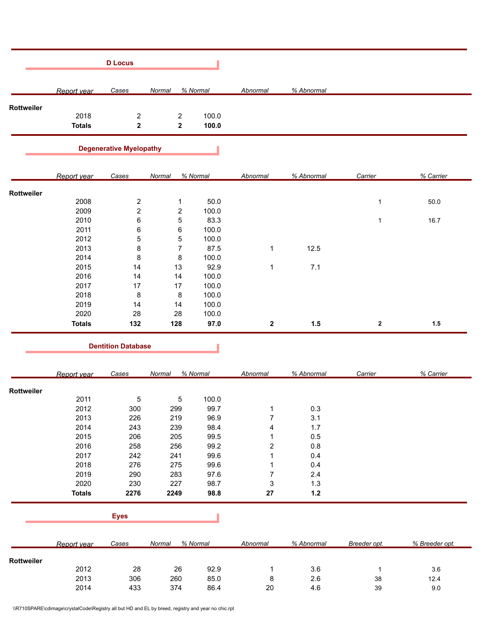|            |                       | <b>D</b> Locus                 |                                        |                |                          |            |              |                |
|------------|-----------------------|--------------------------------|----------------------------------------|----------------|--------------------------|------------|--------------|----------------|
|            | Report year           | Cases                          | Normal                                 | % Normal       | Abnormal                 | % Abnormal |              |                |
| Rottweiler |                       |                                |                                        |                |                          |            |              |                |
|            | 2018<br><b>Totals</b> | $\overline{c}$<br>$\mathbf 2$  | $\overline{\mathbf{c}}$<br>$\mathbf 2$ | 100.0<br>100.0 |                          |            |              |                |
|            |                       | <b>Degenerative Myelopathy</b> |                                        |                |                          |            |              |                |
|            | Report year           | Cases                          | Normal                                 | % Normal       | Abnormal                 | % Abnormal | Carrier      | % Carrier      |
| Rottweiler |                       |                                |                                        |                |                          |            |              |                |
|            | 2008                  | $\overline{c}$                 | $\mathbf{1}$                           | 50.0           |                          |            | 1            | 50.0           |
|            | 2009                  | $\overline{\mathbf{c}}$        | $\overline{\mathbf{c}}$                | 100.0          |                          |            |              |                |
|            | 2010                  | 6                              | $\mathbf 5$                            | 83.3           |                          |            | 1            | 16.7           |
|            | 2011                  | 6                              | 6                                      | 100.0          |                          |            |              |                |
|            | 2012                  | 5                              | $\mathbf 5$                            | 100.0          |                          |            |              |                |
|            | 2013                  | 8                              | $\boldsymbol{7}$                       | 87.5           | 1                        | 12.5       |              |                |
|            | 2014                  | 8                              | 8                                      | 100.0          |                          |            |              |                |
|            | 2015                  | 14                             | 13                                     | 92.9           | $\mathbf{1}$             | 7.1        |              |                |
|            | 2016                  | 14                             | 14                                     | 100.0          |                          |            |              |                |
|            | 2017                  |                                |                                        |                |                          |            |              |                |
|            |                       | 17                             | 17                                     | 100.0          |                          |            |              |                |
|            | 2018                  | 8                              | 8                                      | 100.0          |                          |            |              |                |
|            | 2019                  | 14                             | 14                                     | 100.0          |                          |            |              |                |
|            | 2020                  | 28                             | 28                                     | 100.0          |                          |            |              |                |
|            | <b>Totals</b>         | 132                            | 128                                    | 97.0           | $\boldsymbol{2}$         | 1.5        | $\mathbf{2}$ | 1.5            |
|            |                       | <b>Dentition Database</b>      |                                        |                |                          |            |              |                |
|            | Report year           | Cases                          | Normal                                 | % Normal       | Abnormal                 | % Abnormal | Carrier      | % Carrier      |
| Rottweiler |                       |                                |                                        |                |                          |            |              |                |
|            | 2011                  | $\,$ 5 $\,$                    | 5                                      | 100.0          |                          |            |              |                |
|            | 2012                  | 300                            | 299                                    | 99.7           | $\mathbf{1}$             | 0.3        |              |                |
|            | 2013                  | 226                            | 219                                    | 96.9           | $\overline{\mathcal{I}}$ | 3.1        |              |                |
|            | 2014                  | 243                            | 239                                    | 98.4           | 4                        | 1.7        |              |                |
|            | 2015                  | 206                            | 205                                    | 99.5           | $\mathbf{1}$             | 0.5        |              |                |
|            | 2016                  | 258                            | 256                                    | 99.2           | 2                        | $0.8\,$    |              |                |
|            | 2017                  | 242                            | 241                                    | 99.6           | 1                        | 0.4        |              |                |
|            | 2018                  | 276                            | 275                                    | 99.6           | 1                        | 0.4        |              |                |
|            | 2019                  | 290                            | 283                                    | 97.6           | $\boldsymbol{7}$         | $2.4\,$    |              |                |
|            | 2020                  | 230                            | 227                                    | 98.7           | 3                        | 1.3        |              |                |
|            | <b>Totals</b>         | 2276                           | 2249                                   | 98.8           | 27                       | $1.2$      |              |                |
|            |                       |                                |                                        |                |                          |            |              |                |
|            |                       | <b>Eyes</b>                    |                                        |                |                          |            |              |                |
|            | Report year           | <b>Cases</b>                   | Normal                                 | % Normal       | <b>Abnormal</b>          | % Abnormal | Breeder opt. | % Breeder opt. |
| Rottweiler |                       |                                |                                        |                |                          |            |              |                |
|            | 2012                  | 28                             | $26\,$                                 | 92.9           | $\mathbf{1}$             | $3.6\,$    | $\mathbf{1}$ | 3.6            |

2013 306 260 85.0 8 2.6 38 12.4 2014 433 374 86.4 20 4.6 39 9.0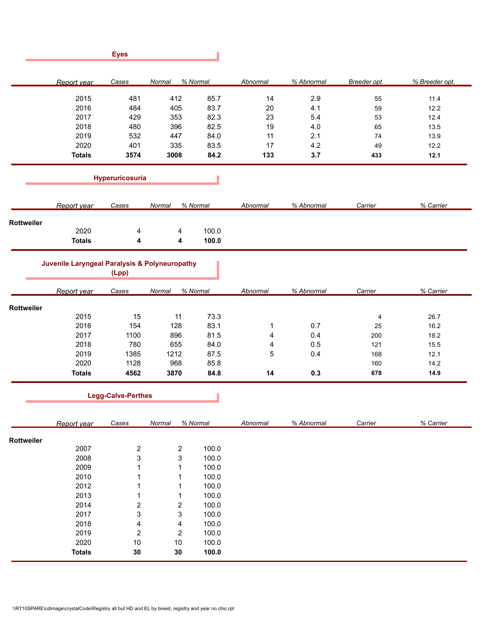|            |                                               | <b>Eyes</b>             |                              |          |          |            |              |                |
|------------|-----------------------------------------------|-------------------------|------------------------------|----------|----------|------------|--------------|----------------|
|            | Report year                                   | Cases                   | Normal                       | % Normal | Abnormal | % Abnormal | Breeder opt. | % Breeder opt. |
|            | 2015                                          | 481                     | 412                          | 85.7     | 14       | 2.9        | 55           | 11.4           |
|            | 2016                                          | 484                     | 405                          | 83.7     | 20       | 4.1        | 59           | 12.2           |
|            | 2017                                          | 429                     | 353                          | 82.3     | 23       | 5.4        | 53           | 12.4           |
|            | 2018                                          | 480                     | 396                          | 82.5     | 19       | 4.0        | 65           | 13.5           |
|            | 2019                                          | 532                     | 447                          | 84.0     | 11       | 2.1        | 74           | 13.9           |
|            | 2020                                          | 401                     | 335                          | 83.5     | 17       | 4.2        | 49           | 12.2           |
|            | <b>Totals</b>                                 | 3574                    | 3008                         | 84.2     | 133      | 3.7        | 433          | 12.1           |
|            |                                               | Hyperuricosuria         |                              |          |          |            |              |                |
|            | Report year                                   | Cases                   | Normal                       | % Normal | Abnormal | % Abnormal | Carrier      | % Carrier      |
| Rottweiler |                                               |                         |                              |          |          |            |              |                |
|            | 2020                                          | 4                       | 4                            | 100.0    |          |            |              |                |
|            | <b>Totals</b>                                 | 4                       | 4                            | 100.0    |          |            |              |                |
|            | Juvenile Laryngeal Paralysis & Polyneuropathy | (Lpp)                   |                              |          |          |            |              |                |
|            | Report year                                   | Cases                   | Normal                       | % Normal | Abnormal | % Abnormal | Carrier      | % Carrier      |
| Rottweiler |                                               |                         |                              |          |          |            |              |                |
|            | 2015                                          | 15                      | 11                           | 73.3     |          |            | 4            | 26.7           |
|            | 2016                                          | 154                     | 128                          | 83.1     | 1        | 0.7        | 25           | 16.2           |
|            | 2017                                          | 1100                    | 896                          | 81.5     | 4        | 0.4        | 200          | 18.2           |
|            | 2018                                          | 780                     | 655                          | 84.0     | 4        | 0.5        | 121          | 15.5           |
|            | 2019                                          | 1385                    | 1212                         | 87.5     | 5        | 0.4        | 168          | 12.1           |
|            | 2020                                          | 1128                    | 968                          | 85.8     |          |            | 160          | 14.2           |
|            | <b>Totals</b>                                 | 4562                    | 3870                         | 84.8     | 14       | 0.3        | 678          | 14.9           |
|            |                                               | Legg-Calve-Perthes      |                              | п        |          |            |              |                |
|            | Report year                                   | Cases                   | Normal                       | % Normal | Abnormal | % Abnormal | Carrier      | % Carrier      |
| Rottweiler |                                               |                         |                              |          |          |            |              |                |
|            | 2007                                          | $\overline{\mathbf{c}}$ | 2                            | 100.0    |          |            |              |                |
|            | 2008                                          | 3                       | 3                            | 100.0    |          |            |              |                |
|            | 2009                                          | 1                       | 1                            | 100.0    |          |            |              |                |
|            | 2010                                          | 1                       | 1                            | 100.0    |          |            |              |                |
|            | 2012                                          | 1                       | 1                            | 100.0    |          |            |              |                |
|            | 2013                                          | 1                       | 1                            | 100.0    |          |            |              |                |
|            | 2014                                          |                         |                              | 100.0    |          |            |              |                |
|            | 2017                                          | $\overline{\mathbf{c}}$ | $\overline{\mathbf{c}}$<br>3 | 100.0    |          |            |              |                |
|            |                                               | 3                       |                              |          |          |            |              |                |
|            | 2018                                          | 4                       | 4                            | 100.0    |          |            |              |                |
|            | 2019                                          | $\overline{\mathbf{c}}$ | $\overline{\mathbf{c}}$      | 100.0    |          |            |              |                |
|            | 2020                                          | 10                      | 10                           | 100.0    |          |            |              |                |
|            | <b>Totals</b>                                 | 30                      | 30                           | 100.0    |          |            |              |                |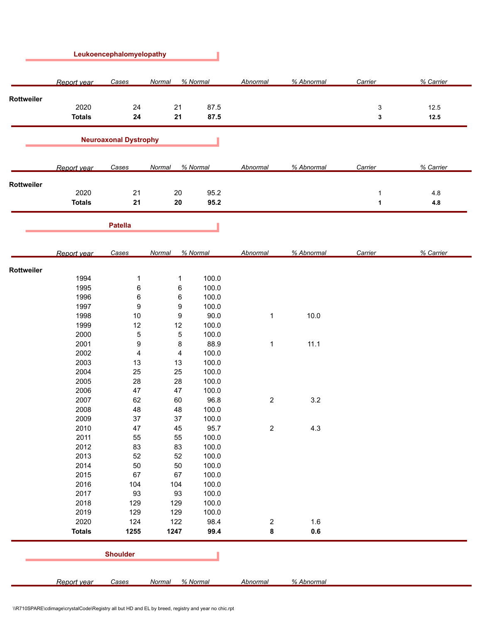|            |                       | Leukoencephalomyelopathy     |             |                |                 |            |         |              |
|------------|-----------------------|------------------------------|-------------|----------------|-----------------|------------|---------|--------------|
|            | Report year           | Cases                        | Normal      | % Normal       | Abnormal        | % Abnormal | Carrier | % Carrier    |
| Rottweiler |                       |                              |             |                |                 |            |         |              |
|            | 2020<br><b>Totals</b> | 24<br>24                     | 21<br>21    | 87.5<br>87.5   |                 |            | 3<br>3  | 12.5<br>12.5 |
|            |                       | <b>Neuroaxonal Dystrophy</b> |             |                |                 |            |         |              |
|            | Report year           | Cases                        | Normal      | % Normal       | Abnormal        | % Abnormal | Carrier | % Carrier    |
| Rottweiler |                       |                              |             |                |                 |            |         |              |
|            | 2020<br><b>Totals</b> | 21<br>21                     | 20<br>20    | 95.2<br>95.2   |                 |            | 1<br>1  | 4.8<br>4.8   |
|            |                       | <b>Patella</b>               |             |                |                 |            |         |              |
|            |                       |                              |             |                | <b>Abnormal</b> |            |         |              |
|            | Report year           | Cases                        | Normal      | % Normal       |                 | % Abnormal | Carrier | % Carrier    |
| Rottweiler | 1994                  | 1                            | $\mathbf 1$ | 100.0          |                 |            |         |              |
|            | 1995                  | 6                            | 6           | 100.0          |                 |            |         |              |
|            | 1996                  | 6                            | 6           | 100.0          |                 |            |         |              |
|            | 1997                  | 9                            | 9           | 100.0          |                 |            |         |              |
|            | 1998                  | $10$                         | 9           | 90.0           | 1               | 10.0       |         |              |
|            | 1999                  | 12                           | 12          | 100.0          |                 |            |         |              |
|            | 2000                  | 5                            | $\mathbf 5$ | 100.0          |                 |            |         |              |
|            | 2001                  | 9                            | 8           | 88.9           | 1               | 11.1       |         |              |
|            | 2002                  | 4                            | 4           | 100.0          |                 |            |         |              |
|            | 2003                  | 13                           | 13          | 100.0          |                 |            |         |              |
|            | 2004                  | 25                           | 25          | 100.0          |                 |            |         |              |
|            | 2005                  | 28                           | 28          | 100.0          |                 |            |         |              |
|            | 2006                  | 47                           | 47          | 100.0          |                 |            |         |              |
|            | 2007                  | 62                           | 60          | 96.8           | $\overline{2}$  | 3.2        |         |              |
|            | 2008                  | 48                           | 48          | 100.0          |                 |            |         |              |
|            | 2009                  | $37\,$                       | 37          | 100.0          |                 |            |         |              |
|            | 2010                  | 47                           | 45          | 95.7           | $\sqrt{2}$      | $4.3$      |         |              |
|            | 2011<br>2012          | 55                           | 55<br>83    | 100.0          |                 |            |         |              |
|            | 2013                  | 83<br>52                     | 52          | 100.0<br>100.0 |                 |            |         |              |
|            | 2014                  | 50                           | 50          | 100.0          |                 |            |         |              |
|            | 2015                  | 67                           | 67          | 100.0          |                 |            |         |              |
|            | 2016                  | 104                          | 104         | 100.0          |                 |            |         |              |
|            | 2017                  | 93                           | 93          | 100.0          |                 |            |         |              |
|            | 2018                  | 129                          | 129         | 100.0          |                 |            |         |              |
|            | 2019                  | 129                          | 129         | 100.0          |                 |            |         |              |
|            | 2020                  | 124                          | 122         | 98.4           | 2               | 1.6        |         |              |
|            | <b>Totals</b>         | 1255                         | 1247        | 99.4           | 8               | $0.6\,$    |         |              |
|            |                       | <b>Shoulder</b>              |             |                |                 |            |         |              |
|            |                       |                              |             |                |                 |            |         |              |
|            | Report year           | <b>Cases</b>                 | Normal      | % Normal       | <b>Abnormal</b> | % Abnormal |         |              |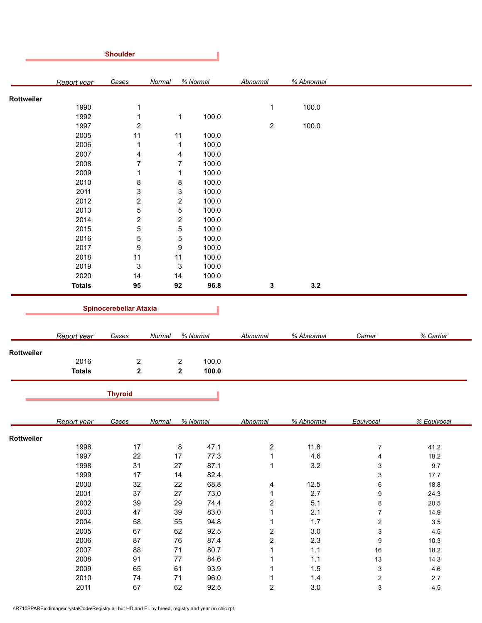|            |               | <b>Shoulder</b>               |                         |              |                         |                |                           |             |
|------------|---------------|-------------------------------|-------------------------|--------------|-------------------------|----------------|---------------------------|-------------|
|            | Report year   | Cases                         | Normal                  | % Normal     | Abnormal                | % Abnormal     |                           |             |
| Rottweiler |               |                               |                         |              |                         |                |                           |             |
|            | 1990          | 1                             |                         |              | $\mathbf{1}$            | 100.0          |                           |             |
|            | 1992          | $\mathbf{1}$                  | $\mathbf 1$             | 100.0        |                         |                |                           |             |
|            | 1997          | $\overline{c}$                |                         |              | $\overline{2}$          | 100.0          |                           |             |
|            | 2005          | 11                            | 11                      | 100.0        |                         |                |                           |             |
|            | 2006          | 1                             | $\mathbf{1}$            | 100.0        |                         |                |                           |             |
|            | 2007          |                               |                         | 100.0        |                         |                |                           |             |
|            |               | $\overline{\mathbf{4}}$       | 4                       |              |                         |                |                           |             |
|            | 2008          | $\boldsymbol{7}$              | $\overline{7}$          | 100.0        |                         |                |                           |             |
|            | 2009          | 1                             | 1                       | 100.0        |                         |                |                           |             |
|            | 2010          | 8                             | 8                       | 100.0        |                         |                |                           |             |
|            | 2011          | 3                             | 3                       | 100.0        |                         |                |                           |             |
|            | 2012          | $\overline{c}$                | $\overline{\mathbf{c}}$ | 100.0        |                         |                |                           |             |
|            | 2013          | 5                             | $\mathbf 5$             | 100.0        |                         |                |                           |             |
|            | 2014          | $\overline{\mathbf{c}}$       | $\overline{\mathbf{c}}$ | 100.0        |                         |                |                           |             |
|            | 2015          | 5                             | $\mathbf 5$             | 100.0        |                         |                |                           |             |
|            | 2016          | 5                             | $\mathbf 5$             | 100.0        |                         |                |                           |             |
|            | 2017          | 9                             | 9                       | 100.0        |                         |                |                           |             |
|            | 2018          | 11                            | 11                      | 100.0        |                         |                |                           |             |
|            | 2019          | $\mathbf{3}$                  | 3                       | 100.0        |                         |                |                           |             |
|            | 2020          | 14                            | 14                      | 100.0        |                         |                |                           |             |
|            | <b>Totals</b> | 95                            | 92                      | 96.8         | 3                       | 3.2            |                           |             |
|            |               |                               |                         |              |                         |                |                           |             |
|            |               | <b>Spinocerebellar Ataxia</b> |                         |              |                         |                |                           |             |
|            |               |                               |                         |              |                         |                |                           |             |
|            | Report year   | Cases                         | Normal                  | % Normal     | Abnormal                | % Abnormal     | Carrier                   | % Carrier   |
| Rottweiler |               |                               |                         |              |                         |                |                           |             |
|            | 2016          | $\sqrt{2}$                    | $\overline{\mathbf{c}}$ | 100.0        |                         |                |                           |             |
|            | <b>Totals</b> | $\mathbf 2$                   | $\mathbf 2$             | 100.0        |                         |                |                           |             |
|            |               | <b>Thyroid</b>                |                         |              |                         |                |                           |             |
|            |               |                               |                         |              |                         |                |                           |             |
|            | Report year   | Cases                         | Normal                  | % Normal     | Abnormal                | % Abnormal     | Equivocal                 | % Equivocal |
| Rottweiler |               |                               |                         |              |                         |                |                           |             |
|            | 1996          | 17                            | 8                       | 47.1         | $\overline{a}$          | 11.8           | $\boldsymbol{7}$          | 41.2        |
|            | 1997          | 22                            | 17                      | 77.3         | $\mathbf{1}$            | 4.6            | 4                         | 18.2        |
|            | 1998          | 31                            | 27                      | 87.1         | $\mathbf{1}$            | 3.2            | $\ensuremath{\mathsf{3}}$ | 9.7         |
|            | 1999          | 17                            | 14                      | 82.4         |                         |                | 3                         | 17.7        |
|            | 2000          | 32                            | 22                      | 68.8         | $\overline{\mathbf{r}}$ | 12.5           | 6                         | 18.8        |
|            | 2001          | $37\,$                        | 27                      | 73.0         | $\mathbf{1}$            | 2.7            | $\boldsymbol{9}$          | 24.3        |
|            |               |                               |                         | 74.4         | $\boldsymbol{2}$        | 5.1            | 8                         | 20.5        |
|            |               |                               |                         |              |                         |                |                           |             |
|            | 2002          | 39                            | 29                      |              |                         |                |                           |             |
|            | 2003          | 47                            | 39                      | 83.0         | $\mathbf 1$             | 2.1            | $\boldsymbol{7}$          | 14.9        |
|            | 2004          | 58                            | 55                      | 94.8         | $\mathbf{1}$            | 1.7            | $\sqrt{2}$                | $3.5\,$     |
|            | 2005          | 67                            | 62                      | 92.5         | $\overline{\mathbf{c}}$ | $3.0\,$        | $\ensuremath{\mathsf{3}}$ | $4.5\,$     |
|            | 2006          | 87                            | 76                      | 87.4         | $\overline{\mathbf{c}}$ | 2.3            | 9                         | 10.3        |
|            | 2007          | 88                            | 71                      | 80.7         | $\mathbf{1}$            | 1.1            | 16                        | 18.2        |
|            | 2008          | 91                            | 77                      | 84.6         | $\mathbf{1}$            | 1.1            | 13                        | 14.3        |
|            | 2009          | 65                            | 61                      | 93.9         | $\mathbf{1}$            | $1.5$          | $\ensuremath{\mathsf{3}}$ | 4.6         |
|            | 2010<br>2011  | 74<br>67                      | 71<br>62                | 96.0<br>92.5 | 1<br>$\overline{c}$     | 1.4<br>$3.0\,$ | $\sqrt{2}$                | 2.7         |